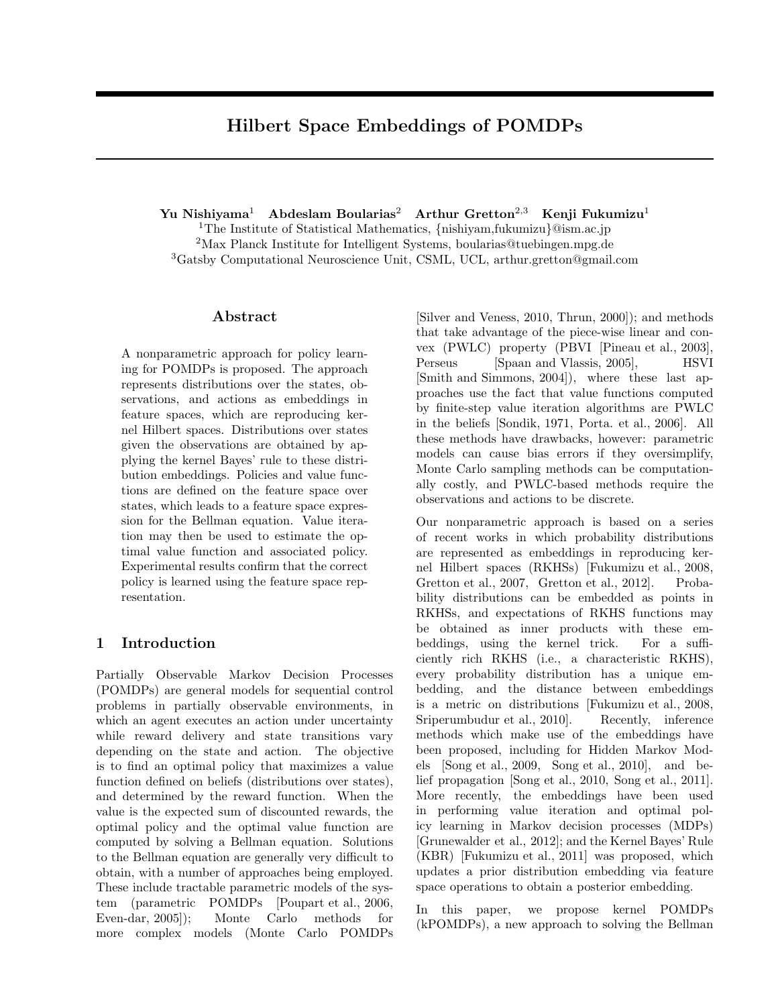# **Hilbert Space Embeddings of POMDPs**

**Yu Nishiyama**<sup>1</sup> **Abdeslam Boularias**<sup>2</sup> **Arthur Gretton**<sup>2</sup>*,*<sup>3</sup> **Kenji Fukumizu**<sup>1</sup>

<sup>1</sup>The Institute of Statistical Mathematics, *{*nishiyam,fukumizu*}*@ism.ac.jp <sup>2</sup>Max Planck Institute for Intelligent Systems, boularias@tuebingen.mpg.de <sup>3</sup>Gatsby Computational Neuroscience Unit, CSML, UCL, arthur.gretton@gmail.com

# **Abstract**

A nonparametric approach for policy learning for POMDPs is proposed. The approach represents distributions over the states, observations, and actions as embeddings in feature spaces, which are reproducing kernel Hilbert spaces. Distributions over states given the observations are obtained by applying the kernel Bayes' rule to these distribution embeddings. Policies and value functions are defined on the feature space over states, which leads to a feature space expression for the Bellman equation. Value iteration may then be used to estimate the optimal value function and associated policy. Experimental results confirm that the correct policy is learned using the feature space representation.

# **1 Introduction**

Partially Observable Markov Decision Processes (POMDPs) are general models for sequential control problems in partially observable environments, in which an agent executes an action under uncertainty while reward delivery and state transitions vary depending on the state and action. The objective is to find an optimal policy that maximizes a value function defined on beliefs (distributions over states), and determined by the reward function. When the value is the expected sum of discounted rewards, the optimal policy and the optimal value function are computed by solving a Bellman equation. Solutions to the Bellman equation are generally very difficult to obtain, with a number of approaches being employed. These include tractable parametric models of the system (parametric POMDPs [Poupart et al., 2006, Even-dar, 2005]); Monte Carlo methods for more complex models (Monte Carlo POMDPs

[Silver and Veness, 2010, Thrun, 2000]); and methods that take advantage of the piece-wise linear and convex (PWLC) property (PBVI [Pineau et al., 2003], Perseus [Spaan and Vlassis, 2005], HSVI [Smith and Simmons, 2004]), where these last approaches use the fact that value functions computed by finite-step value iteration algorithms are PWLC in the beliefs [Sondik, 1971, Porta. et al., 2006]. All these methods have drawbacks, however: parametric models can cause bias errors if they oversimplify, Monte Carlo sampling methods can be computationally costly, and PWLC-based methods require the observations and actions to be discrete.

Our nonparametric approach is based on a series of recent works in which probability distributions are represented as embeddings in reproducing kernel Hilbert spaces (RKHSs) [Fukumizu et al., 2008, Gretton et al., 2007, Gretton et al., 2012]. Probability distributions can be embedded as points in RKHSs, and expectations of RKHS functions may be obtained as inner products with these embeddings, using the kernel trick. For a sufficiently rich RKHS (i.e., a characteristic RKHS), every probability distribution has a unique embedding, and the distance between embeddings is a metric on distributions [Fukumizu et al., 2008, Sriperumbudur et al., 2010]. Recently, inference methods which make use of the embeddings have been proposed, including for Hidden Markov Models [Song et al., 2009, Song et al., 2010], and belief propagation [Song et al., 2010, Song et al., 2011]. More recently, the embeddings have been used in performing value iteration and optimal policy learning in Markov decision processes (MDPs) [Grunewalder et al., 2012]; and the Kernel Bayes' Rule (KBR) [Fukumizu et al., 2011] was proposed, which updates a prior distribution embedding via feature space operations to obtain a posterior embedding.

In this paper, we propose kernel POMDPs (kPOMDPs), a new approach to solving the Bellman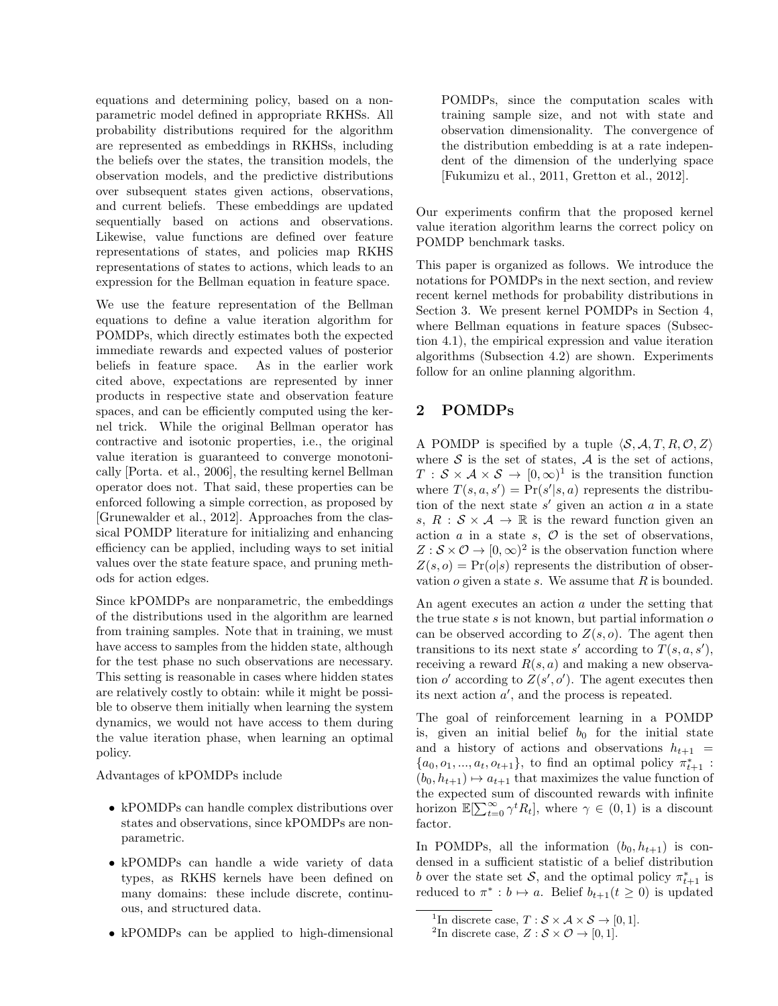equations and determining policy, based on a nonparametric model defined in appropriate RKHSs. All probability distributions required for the algorithm are represented as embeddings in RKHSs, including the beliefs over the states, the transition models, the observation models, and the predictive distributions over subsequent states given actions, observations, and current beliefs. These embeddings are updated sequentially based on actions and observations. Likewise, value functions are defined over feature representations of states, and policies map RKHS representations of states to actions, which leads to an expression for the Bellman equation in feature space.

We use the feature representation of the Bellman equations to define a value iteration algorithm for POMDPs, which directly estimates both the expected immediate rewards and expected values of posterior beliefs in feature space. As in the earlier work cited above, expectations are represented by inner products in respective state and observation feature spaces, and can be efficiently computed using the kernel trick. While the original Bellman operator has contractive and isotonic properties, i.e., the original value iteration is guaranteed to converge monotonically [Porta. et al., 2006], the resulting kernel Bellman operator does not. That said, these properties can be enforced following a simple correction, as proposed by [Grunewalder et al., 2012]. Approaches from the classical POMDP literature for initializing and enhancing efficiency can be applied, including ways to set initial values over the state feature space, and pruning methods for action edges.

Since kPOMDPs are nonparametric, the embeddings of the distributions used in the algorithm are learned from training samples. Note that in training, we must have access to samples from the hidden state, although for the test phase no such observations are necessary. This setting is reasonable in cases where hidden states are relatively costly to obtain: while it might be possible to observe them initially when learning the system dynamics, we would not have access to them during the value iteration phase, when learning an optimal policy.

Advantages of kPOMDPs include

- kPOMDPs can handle complex distributions over states and observations, since kPOMDPs are nonparametric.
- *•* kPOMDPs can handle a wide variety of data types, as RKHS kernels have been defined on many domains: these include discrete, continuous, and structured data.
- *•* kPOMDPs can be applied to high-dimensional

POMDPs, since the computation scales with training sample size, and not with state and observation dimensionality. The convergence of the distribution embedding is at a rate independent of the dimension of the underlying space [Fukumizu et al., 2011, Gretton et al., 2012].

Our experiments confirm that the proposed kernel value iteration algorithm learns the correct policy on POMDP benchmark tasks.

This paper is organized as follows. We introduce the notations for POMDPs in the next section, and review recent kernel methods for probability distributions in Section 3. We present kernel POMDPs in Section 4, where Bellman equations in feature spaces (Subsection 4.1), the empirical expression and value iteration algorithms (Subsection 4.2) are shown. Experiments follow for an online planning algorithm.

# **2 POMDPs**

A POMDP is specified by a tuple  $\langle S, A, T, R, \mathcal{O}, Z \rangle$ where  $S$  is the set of states,  $A$  is the set of actions,  $T : \mathcal{S} \times \mathcal{A} \times \mathcal{S} \to [0, \infty)^1$  is the transition function where  $T(s, a, s') = \Pr(s' | s, a)$  represents the distribution of the next state *s ′* given an action *a* in a state *s*,  $R : S \times A \rightarrow \mathbb{R}$  is the reward function given an action  $a$  in a state  $s$ ,  $\mathcal{O}$  is the set of observations,  $Z : \mathcal{S} \times \mathcal{O} \rightarrow [0, \infty)^2$  is the observation function where  $Z(s, o) = Pr(o|s)$  represents the distribution of observation *o* given a state *s*. We assume that *R* is bounded.

An agent executes an action *a* under the setting that the true state *s* is not known, but partial information *o* can be observed according to  $Z(s, o)$ . The agent then transitions to its next state *s'* according to  $T(s, a, s')$ , receiving a reward  $R(s, a)$  and making a new observation *o'* according to  $Z(s', o')$ . The agent executes then its next action *a ′* , and the process is repeated.

The goal of reinforcement learning in a POMDP is, given an initial belief  $b_0$  for the initial state and a history of actions and observations  $h_{t+1}$  =  ${a_0, o_1, ..., a_t, o_{t+1}}$ , to find an optimal policy  $\pi_{t+1}^*$ :  $(b_0, h_{t+1}) \mapsto a_{t+1}$  that maximizes the value function of the expected sum of discounted rewards with infinite horizon  $\mathbb{E}[\sum_{t=0}^{\infty} \gamma^t R_t]$ , where  $\gamma \in (0,1)$  is a discount factor.

In POMDPs, all the information  $(b_0, h_{t+1})$  is condensed in a sufficient statistic of a belief distribution *b* over the state set *S*, and the optimal policy  $\pi^*_{t+1}$  is reduced to  $\pi^* : b \mapsto a$ . Belief  $b_{t+1}(t \geq 0)$  is updated

<sup>&</sup>lt;sup>1</sup>In discrete case,  $T : \mathcal{S} \times \mathcal{A} \times \mathcal{S} \rightarrow [0, 1].$ 

<sup>&</sup>lt;sup>2</sup>In discrete case,  $Z : \mathcal{S} \times \mathcal{O} \rightarrow [0, 1].$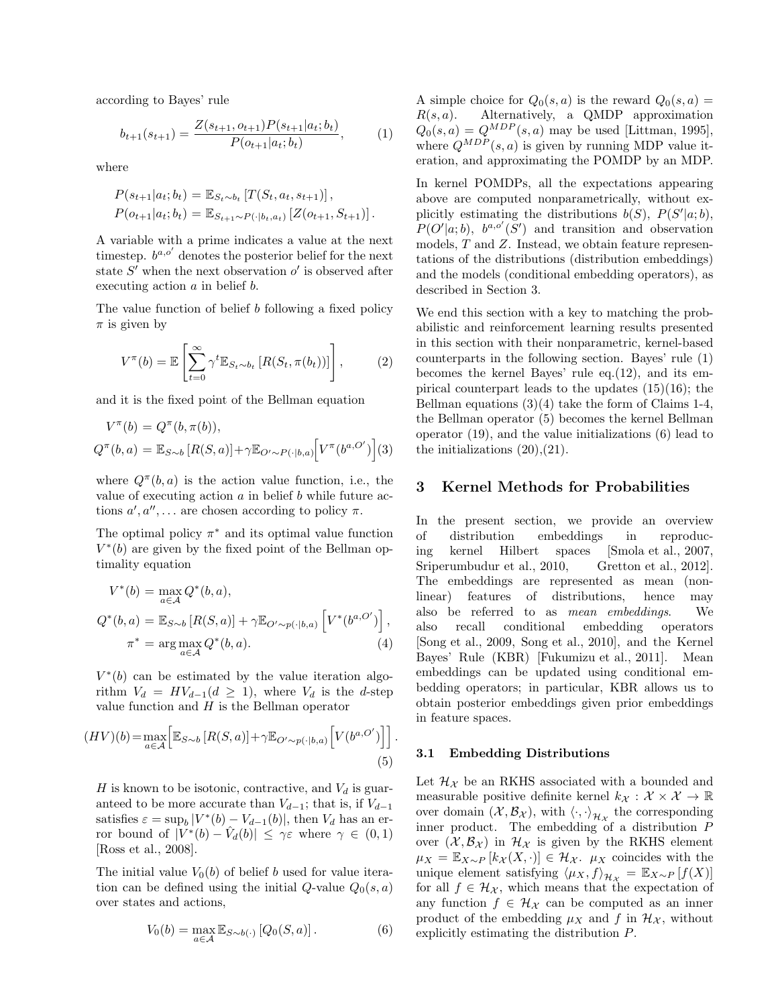according to Bayes' rule

$$
b_{t+1}(s_{t+1}) = \frac{Z(s_{t+1}, o_{t+1})P(s_{t+1}|a_t; b_t)}{P(o_{t+1}|a_t; b_t)},
$$
 (1)

where

$$
P(s_{t+1}|a_t; b_t) = \mathbb{E}_{S_t \sim b_t} [T(S_t, a_t, s_{t+1})],
$$
  
\n
$$
P(o_{t+1}|a_t; b_t) = \mathbb{E}_{S_{t+1} \sim P(\cdot|b_t, a_t)} [Z(o_{t+1}, S_{t+1})].
$$

A variable with a prime indicates a value at the next timestep.  $b^{a,o'}$  denotes the posterior belief for the next state  $S'$  when the next observation  $o'$  is observed after executing action *a* in belief *b*.

The value function of belief *b* following a fixed policy *π* is given by

$$
V^{\pi}(b) = \mathbb{E}\left[\sum_{t=0}^{\infty} \gamma^t \mathbb{E}_{S_t \sim b_t} \left[R(S_t, \pi(b_t))\right]\right],\tag{2}
$$

and it is the fixed point of the Bellman equation

$$
V^{\pi}(b) = Q^{\pi}(b, \pi(b)),
$$
  
\n
$$
Q^{\pi}(b, a) = \mathbb{E}_{S \sim b} [R(S, a)] + \gamma \mathbb{E}_{O' \sim P(\cdot|b, a)} [V^{\pi}(b^{a, O'})](3)
$$

where  $Q^{\pi}(b, a)$  is the action value function, i.e., the value of executing action *a* in belief *b* while future actions  $a', a'', \ldots$  are chosen according to policy  $\pi$ .

The optimal policy  $\pi^*$  and its optimal value function  $V^*(b)$  are given by the fixed point of the Bellman optimality equation

$$
V^*(b) = \max_{a \in \mathcal{A}} Q^*(b, a),
$$
  
\n
$$
Q^*(b, a) = \mathbb{E}_{S \sim b} [R(S, a)] + \gamma \mathbb{E}_{O' \sim p(\cdot | b, a)} [V^*(b^{a, O'})],
$$
  
\n
$$
\pi^* = \arg \max_{a \in \mathcal{A}} Q^*(b, a).
$$
\n(4)

 $V^*(b)$  can be estimated by the value iteration algorithm  $V_d = HV_{d-1}(d \geq 1)$ , where  $V_d$  is the *d*-step value function and *H* is the Bellman operator

$$
(HV)(b) = \max_{a \in \mathcal{A}} \left[ \mathbb{E}_{S \sim b} \left[ R(S, a) \right] + \gamma \mathbb{E}_{O' \sim p(\cdot | b, a)} \left[ V(b^{a, O'}) \right] \right].
$$
\n(5)

*H* is known to be isotonic, contractive, and  $V_d$  is guaranteed to be more accurate than  $V_{d-1}$ ; that is, if  $V_{d-1}$ satisfies  $\varepsilon = \sup_b |V^*(b) - V_{d-1}(b)|$ , then  $V_d$  has an error bound of  $|V^*(b) - \hat{V}_d(b)| \leq \gamma \varepsilon$  where  $\gamma \in (0,1)$ [Ross et al., 2008].

The initial value  $V_0(b)$  of belief *b* used for value iteration can be defined using the initial  $Q$ -value  $Q_0(s, a)$ over states and actions,

$$
V_0(b) = \max_{a \in \mathcal{A}} \mathbb{E}_{S \sim b(\cdot)} [Q_0(S, a)]. \tag{6}
$$

A simple choice for  $Q_0(s, a)$  is the reward  $Q_0(s, a)$  = *R*(*s, a*). Alternatively, a QMDP approximation  $Q_0(s, a) = Q^{MDP}(s, a)$  may be used [Littman, 1995], where  $Q^{MDP}(s, a)$  is given by running MDP value iteration, and approximating the POMDP by an MDP.

In kernel POMDPs, all the expectations appearing above are computed nonparametrically, without explicitly estimating the distributions  $b(S)$ ,  $P(S'|a;b)$ ,  $P(O'|a;b)$ ,  $b^{a,o'}(S')$  and transition and observation models, *T* and *Z*. Instead, we obtain feature representations of the distributions (distribution embeddings) and the models (conditional embedding operators), as described in Section 3.

We end this section with a key to matching the probabilistic and reinforcement learning results presented in this section with their nonparametric, kernel-based counterparts in the following section. Bayes' rule (1) becomes the kernel Bayes' rule eq.(12), and its empirical counterpart leads to the updates (15)(16); the Bellman equations  $(3)(4)$  take the form of Claims 1-4, the Bellman operator (5) becomes the kernel Bellman operator (19), and the value initializations (6) lead to the initializations  $(20),(21)$ .

## **3 Kernel Methods for Probabilities**

In the present section, we provide an overview of distribution embeddings in reproducing kernel Hilbert spaces [Smola et al., 2007, Sriperumbudur et al., 2010, Gretton et al., 2012]. The embeddings are represented as mean (nonlinear) features of distributions, hence may also be referred to as *mean embeddings*. We also recall conditional embedding operators [Song et al., 2009, Song et al., 2010], and the Kernel Bayes' Rule (KBR) [Fukumizu et al., 2011]. Mean embeddings can be updated using conditional embedding operators; in particular, KBR allows us to obtain posterior embeddings given prior embeddings in feature spaces.

#### **3.1 Embedding Distributions**

Let  $\mathcal{H}_{\mathcal{X}}$  be an RKHS associated with a bounded and measurable positive definite kernel  $k_{\mathcal{X}} : \mathcal{X} \times \mathcal{X} \to \mathbb{R}$ over domain  $(\mathcal{X}, \mathcal{B}_\mathcal{X})$ , with  $\langle \cdot, \cdot \rangle_{\mathcal{H}_\mathcal{X}}$  the corresponding inner product. The embedding of a distribution P over  $(\mathcal{X}, \mathcal{B}_{\mathcal{X}})$  in  $\mathcal{H}_{\mathcal{X}}$  is given by the RKHS element *µ*<sup>*X*</sup> =  $\mathbb{E}_{X \sim P} [k_{\mathcal{X}}(X, \cdot)] \in \mathcal{H}_{\mathcal{X}}$ . *µX* coincides with the unique element satisfying  $\langle \mu_X, f \rangle_{\mathcal{H}_X} = \mathbb{E}_{X \sim P} [f(X)]$ for all  $f \in \mathcal{H}_{\mathcal{X}}$ , which means that the expectation of any function  $f \in \mathcal{H}_{\mathcal{X}}$  can be computed as an inner product of the embedding  $\mu_X$  and f in  $\mathcal{H}_X$ , without explicitly estimating the distribution *P*.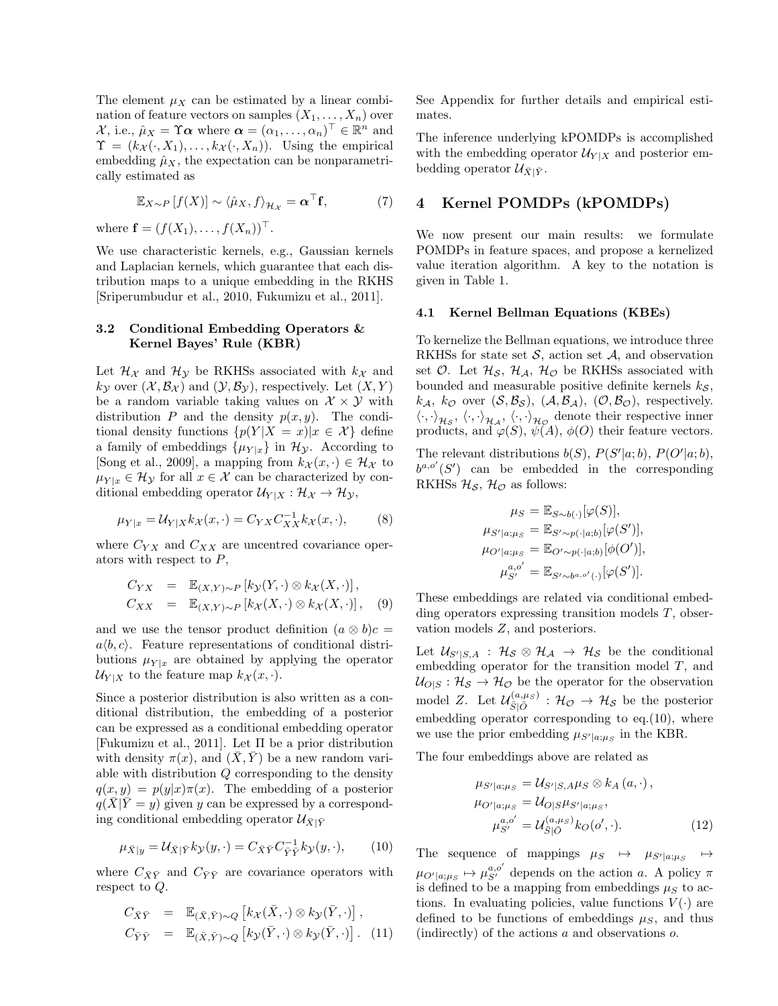The element  $\mu_X$  can be estimated by a linear combination of feature vectors on samples  $(X_1, \ldots, X_n)$  over  $\mathcal{X}$ , i.e.,  $\hat{\mu}_X = \Upsilon \alpha$  where  $\alpha = (\alpha_1, \dots, \alpha_n)^\top \in \mathbb{R}^n$  and  $\Upsilon = (k_{\mathcal{X}}(\cdot, X_1), \ldots, k_{\mathcal{X}}(\cdot, X_n)).$  Using the empirical embedding  $\hat{\mu}_X$ , the expectation can be nonparametrically estimated as

$$
\mathbb{E}_{X \sim P} [f(X)] \sim \langle \hat{\mu}_X, f \rangle_{\mathcal{H}_X} = \boldsymbol{\alpha}^\top \mathbf{f}, \tag{7}
$$

where  $f = (f(X_1), \ldots, f(X_n))^{\top}$ .

We use characteristic kernels, e.g., Gaussian kernels and Laplacian kernels, which guarantee that each distribution maps to a unique embedding in the RKHS [Sriperumbudur et al., 2010, Fukumizu et al., 2011].

## **3.2 Conditional Embedding Operators & Kernel Bayes' Rule (KBR)**

Let  $\mathcal{H}_{\chi}$  and  $\mathcal{H}_{\gamma}$  be RKHSs associated with  $k_{\chi}$  and  $k_{\mathcal{Y}}$  over  $(\mathcal{X}, \mathcal{B}_{\mathcal{X}})$  and  $(\mathcal{Y}, \mathcal{B}_{\mathcal{Y}})$ , respectively. Let  $(X, Y)$ be a random variable taking values on  $\mathcal{X} \times \mathcal{Y}$  with distribution *P* and the density  $p(x, y)$ . The conditional density functions  $\{p(Y|X=x)|x \in \mathcal{X}\}\$  define a family of embeddings  $\{\mu_{Y|x}\}\$ in  $\mathcal{H}_{\mathcal{Y}}$ . According to [Song et al., 2009], a mapping from  $k_{\mathcal{X}}(x, \cdot) \in \mathcal{H}_{\mathcal{X}}$  to  $\mu_{Y|x} \in \mathcal{H}_Y$  for all  $x \in \mathcal{X}$  can be characterized by conditional embedding operator  $\mathcal{U}_{Y|X} : \mathcal{H}_X \to \mathcal{H}_Y$ ,

$$
\mu_{Y|x} = \mathcal{U}_{Y|X} k_{\mathcal{X}}(x, \cdot) = C_{YX} C_{XX}^{-1} k_{\mathcal{X}}(x, \cdot), \tag{8}
$$

where  $C_{YX}$  and  $C_{XX}$  are uncentred covariance operators with respect to *P*,

$$
C_{YX} = \mathbb{E}_{(X,Y)\sim P} [k_{\mathcal{Y}}(Y, \cdot) \otimes k_{\mathcal{X}}(X, \cdot)],
$$
  
\n
$$
C_{XX} = \mathbb{E}_{(X,Y)\sim P} [k_{\mathcal{X}}(X, \cdot) \otimes k_{\mathcal{X}}(X, \cdot)], \quad (9)
$$

and we use the tensor product definition  $(a \otimes b)c =$  $a\langle b, c \rangle$ . Feature representations of conditional distributions  $\mu_{Y|x}$  are obtained by applying the operator  $U_{Y|X}$  to the feature map  $k_{X}(x, \cdot)$ .

Since a posterior distribution is also written as a conditional distribution, the embedding of a posterior can be expressed as a conditional embedding operator [Fukumizu et al., 2011]. Let Π be a prior distribution with density  $\pi(x)$ , and  $(X, Y)$  be a new random variable with distribution *Q* corresponding to the density  $q(x, y) = p(y|x)\pi(x)$ . The embedding of a posterior  $q(\bar{X}|\bar{Y}=y)$  given *y* can be expressed by a corresponding conditional embedding operator  $\mathcal{U}_{\bar{X}|\bar{Y}}$ 

$$
\mu_{\bar{X}|y} = \mathcal{U}_{\bar{X}|\bar{Y}} k_{\mathcal{Y}}(y,\cdot) = C_{\bar{X}\bar{Y}} C_{\bar{Y}\bar{Y}}^{-1} k_{\mathcal{Y}}(y,\cdot),\tag{10}
$$

where  $C_{\bar{X}\bar{Y}}$  and  $C_{\bar{Y}\bar{Y}}$  are covariance operators with respect to *Q*.

$$
C_{\bar{X}\bar{Y}} = \mathbb{E}_{(\bar{X}, \bar{Y}) \sim Q} [k_{\mathcal{X}}(\bar{X}, \cdot) \otimes k_{\mathcal{Y}}(\bar{Y}, \cdot)],
$$
  
\n
$$
C_{\bar{Y}\bar{Y}} = \mathbb{E}_{(\bar{X}, \bar{Y}) \sim Q} [k_{\mathcal{Y}}(\bar{Y}, \cdot) \otimes k_{\mathcal{Y}}(\bar{Y}, \cdot)].
$$
 (11)

See Appendix for further details and empirical estimates.

The inference underlying kPOMDPs is accomplished with the embedding operator  $\mathcal{U}_{Y|X}$  and posterior embedding operator  $\mathcal{U}_{\bar{X}|\bar{Y}}$ .

# **4 Kernel POMDPs (kPOMDPs)**

We now present our main results: we formulate POMDPs in feature spaces, and propose a kernelized value iteration algorithm. A key to the notation is given in Table 1.

#### **4.1 Kernel Bellman Equations (KBEs)**

To kernelize the Bellman equations, we introduce three RKHSs for state set *S*, action set *A*, and observation set  $\mathcal{O}$ . Let  $\mathcal{H}_{\mathcal{S}}$ ,  $\mathcal{H}_{\mathcal{A}}$ ,  $\mathcal{H}_{\mathcal{O}}$  be RKHSs associated with bounded and measurable positive definite kernels *k<sup>S</sup>* ,  $k_{\mathcal{A}}, k_{\mathcal{O}}$  over  $(\mathcal{S}, \mathcal{B}_{\mathcal{S}}), (\mathcal{A}, \mathcal{B}_{\mathcal{A}}), (\mathcal{O}, \mathcal{B}_{\mathcal{O}})$ , respectively.  $\langle \cdot, \cdot \rangle_{\mathcal{H}_{\mathcal{S}}}, \langle \cdot, \cdot \rangle_{\mathcal{H}_{\mathcal{A}}}, \langle \cdot, \cdot \rangle_{\mathcal{H}_{\mathcal{O}}}$  denote their respective inner products, and  $\varphi(S)$ ,  $\psi(A)$ ,  $\phi(O)$  their feature vectors.

The relevant distributions  $b(S)$ ,  $P(S'|a; b)$ ,  $P(O'|a; b)$ ,  $b^{a,o'}(S')$  can be embedded in the corresponding RKHSs  $\mathcal{H}_{\mathcal{S}}$ ,  $\mathcal{H}_{\mathcal{O}}$  as follows:

$$
\mu_S = \mathbb{E}_{S \sim b(\cdot)}[\varphi(S)],
$$
  
\n
$$
\mu_{S'|a;\mu_S} = \mathbb{E}_{S' \sim p(\cdot|a;b)}[\varphi(S')],
$$
  
\n
$$
\mu_{O'|a;\mu_S} = \mathbb{E}_{O' \sim p(\cdot|a;b)}[\phi(O')],
$$
  
\n
$$
\mu_{S'}^{a,o'} = \mathbb{E}_{S' \sim b^{a,o'}(\cdot)}[\varphi(S')].
$$

These embeddings are related via conditional embedding operators expressing transition models *T*, observation models *Z*, and posteriors.

Let  $\mathcal{U}_{S'|S,A}$  :  $\mathcal{H}_{\mathcal{S}} \otimes \mathcal{H}_{\mathcal{A}} \to \mathcal{H}_{\mathcal{S}}$  be the conditional embedding operator for the transition model *T*, and  $U_{O|S}: \mathcal{H}_{S} \to \mathcal{H}_{O}$  be the operator for the observation model *Z*. Let  $\mathcal{U}_{\bar{S}|\bar{O}}^{(a,\mu_S)}$  :  $\mathcal{H}_{\mathcal{O}} \rightarrow \mathcal{H}_{\mathcal{S}}$  be the posterior embedding operator corresponding to eq.(10), where we use the prior embedding  $\mu_{S'|a;\mu_S}$  in the KBR.

The four embeddings above are related as

$$
\mu_{S'|a;\mu_S} = \mathcal{U}_{S'|S,A}\mu_S \otimes k_A(a,\cdot),
$$
  
\n
$$
\mu_{O'|a;\mu_S} = \mathcal{U}_{O|S}\mu_{S'|a;\mu_S},
$$
  
\n
$$
\mu_{S'}^{a,o'} = \mathcal{U}_{\tilde{S}|\tilde{O}}^{(a,\mu_S)}k_O(o',\cdot).
$$
\n(12)

The sequence of mappings  $\mu_S \rightarrow \mu_{S'|a;\mu_S}$ *7→*  $\mu_{O'|a;\mu_S} \mapsto \mu_{S'}^{a,o'}$  depends on the action *a*. A policy  $\pi$ is defined to be a mapping from embeddings  $\mu<sub>S</sub>$  to actions. In evaluating policies, value functions  $V(\cdot)$  are defined to be functions of embeddings  $\mu_S$ , and thus (indirectly) of the actions *a* and observations *o*.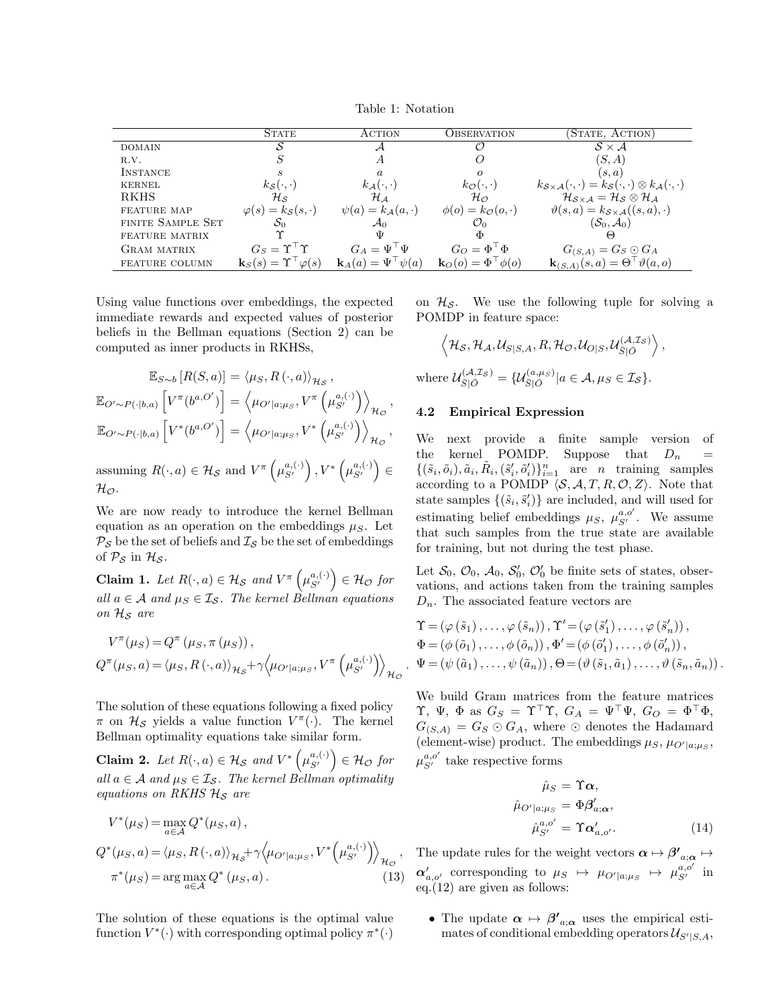Table 1: Notation

|                    | <b>STATE</b>                                     | ACTION                                | OBSERVATION)                          | (STATE, ACTION)                                                                                                  |
|--------------------|--------------------------------------------------|---------------------------------------|---------------------------------------|------------------------------------------------------------------------------------------------------------------|
| <b>DOMAIN</b>      |                                                  |                                       |                                       | $S \times A$                                                                                                     |
| R.V.               |                                                  | A                                     |                                       | (S, A)                                                                                                           |
| INSTANCE           |                                                  | $\alpha$                              | $\Omega$                              | (s,a)                                                                                                            |
| <b>KERNEL</b>      | $k_{\mathcal{S}}(\cdot,\cdot)$                   | $k_{\mathcal{A}}(\cdot,\cdot)$        | $k_{\mathcal{O}}(\cdot,\cdot)$        | $k_{\mathcal{S}\times\mathcal{A}}(\cdot,\cdot)=k_{\mathcal{S}}(\cdot,\cdot)\otimes k_{\mathcal{A}}(\cdot,\cdot)$ |
| RKHS               | $\mathcal{H}_{\mathcal{S}}$                      | $\mathcal{H}_\mathcal{A}$             | $\mathcal{H}_\mathcal{O}$             | $\mathcal{H}_{S\times A}=\mathcal{H}_S\otimes\mathcal{H}_A$                                                      |
| <b>FEATURE MAP</b> | $\varphi(s) = k_{\mathcal{S}}(s, \cdot)$         | $\psi(a) = k_{\mathcal{A}}(a, \cdot)$ | $\phi(o) = k_{\mathcal{O}}(o, \cdot)$ | $\vartheta(s,a) = k_{\mathcal{S} \times \mathcal{A}}((s,a),\cdot)$                                               |
| FINITE SAMPLE SET  | $S_0$                                            | $\mathcal{A}_{0}$                     | $\mathcal{O}_0$                       | $(\mathcal{S}_0, \mathcal{A}_0)$                                                                                 |
| FEATURE MATRIX     |                                                  | Ψ                                     | Φ                                     | ↔                                                                                                                |
| <b>GRAM MATRIX</b> | $G_S = \Upsilon^{\top} \Upsilon$                 | $G_A = \Psi^{\perp} \Psi$             | $G_O = \Phi^\top \Phi$                | $G_{(S,A)}=G_S\odot G_A$                                                                                         |
| FEATURE COLUMN     | $\mathbf{k}_{S}(s) = \Upsilon^{\top} \varphi(s)$ | $\mathbf{k}_A(a) = \Psi^\top \psi(a)$ | $\mathbf{k}_O(o) = \Phi^\top \phi(o)$ | $\mathbf{k}_{(S,A)}(s,a) = \Theta^{\top} \vartheta(a,o)$                                                         |

*.*

Using value functions over embeddings, the expected immediate rewards and expected values of posterior beliefs in the Bellman equations (Section 2) can be computed as inner products in RKHSs,

$$
\mathbb{E}_{S \sim b} [R(S, a)] = \langle \mu_S, R(\cdot, a) \rangle_{\mathcal{H}_S},
$$
  

$$
\mathbb{E}_{O' \sim P(\cdot | b, a)} [V^{\pi}(b^{a, O'})] = \langle \mu_{O' | a; \mu_S}, V^{\pi}(\mu_{S'}^{a, (\cdot)}) \rangle_{\mathcal{H}_O},
$$
  

$$
\mathbb{E}_{O' \sim P(\cdot | b, a)} [V^*(b^{a, O'})] = \langle \mu_{O' | a; \mu_S}, V^*(\mu_{S'}^{a, (\cdot)}) \rangle_{\mathcal{H}_O},
$$

assuming  $R(\cdot, a) \in \mathcal{H}_{\mathcal{S}}$  and  $V^{\pi}\left(\mu_{\mathcal{S}'}^{a, (\cdot)}\right), V^*\left(\mu_{\mathcal{S}'}^{a, (\cdot)}\right) \in$  $H_{\mathcal{O}}$ .

We are now ready to introduce the kernel Bellman equation as an operation on the embeddings  $\mu_S$ . Let  $P_S$  be the set of beliefs and  $I_S$  be the set of embeddings of  $P_S$  in  $H_S$ .

**Claim 1.** Let  $R(\cdot, a) \in \mathcal{H}_{\mathcal{S}}$  and  $V^{\pi}\left(\mu_{\mathcal{S}'}^{a, (\cdot)}\right) \in \mathcal{H}_{\mathcal{O}}$  for *all*  $a \in \mathcal{A}$  *and*  $\mu_S \in \mathcal{I}_\mathcal{S}$ *. The kernel Bellman equations on H<sup>S</sup> are*

$$
V^{\pi}(\mu_S) = Q^{\pi}(\mu_S, \pi(\mu_S)),
$$
  
\n
$$
Q^{\pi}(\mu_S, a) = \langle \mu_S, R(\cdot, a) \rangle_{\mathcal{H}_S} + \gamma \langle \mu_{O'|a; \mu_S}, V^{\pi}(\mu_{S'}^{a, (\cdot)}) \rangle_{\mathcal{H}_O}
$$

The solution of these equations following a fixed policy *π* on  $\mathcal{H}_{\mathcal{S}}$  yields a value function  $V^{\pi}(\cdot)$ . The kernel Bellman optimality equations take similar form.

**Claim 2.** *Let*  $R(\cdot, a) \in \mathcal{H}_{\mathcal{S}}$  and  $V^* \left( \mu_{\mathcal{S}'}^{a, (\cdot)} \right) \in \mathcal{H}_{\mathcal{O}}$  for *all*  $a \in \mathcal{A}$  *and*  $\mu_S \in \mathcal{I}_{\mathcal{S}}$ *. The kernel Bellman optimality equations on RKHS H<sup>S</sup> are*

$$
V^*(\mu_S) = \max_{a \in \mathcal{A}} Q^*(\mu_S, a),
$$
  
\n
$$
Q^*(\mu_S, a) = \langle \mu_S, R(\cdot, a) \rangle_{\mathcal{H}_{\mathcal{S}}} + \gamma \langle \mu_{O'|a; \mu_S}, V^*(\mu_{S'}^{a, (\cdot)}) \rangle_{\mathcal{H}_{\mathcal{O}}},
$$
  
\n
$$
\pi^*(\mu_S) = \arg \max_{a \in \mathcal{A}} Q^*(\mu_S, a).
$$
\n(13)

The solution of these equations is the optimal value function  $V^*(\cdot)$  with corresponding optimal policy  $\pi^*(\cdot)$ 

on  $\mathcal{H}_{\mathcal{S}}$ . We use the following tuple for solving a POMDP in feature space:

$$
\left\langle \mathcal{H}_{\mathcal{S}}, \mathcal{H}_{\mathcal{A}}, \mathcal{U}_{S|S,A}, R, \mathcal{H}_{\mathcal{O}}, \mathcal{U}_{O|S}, \mathcal{U}_{\bar{S}|\bar{O}}^{(\mathcal{A},\mathcal{I}_{\mathcal{S}})} \right\rangle,
$$
  
where 
$$
\mathcal{U}_{\bar{S}|\bar{O}}^{(\mathcal{A},\mathcal{I}_{\mathcal{S}})} = \{ \mathcal{U}_{\bar{S}|\bar{O}}^{(a,\mu_{\mathcal{S}})} | a \in \mathcal{A}, \mu_{S} \in \mathcal{I}_{\mathcal{S}} \}.
$$

## **4.2 Empirical Expression**

We next provide a finite sample version of the kernel POMDP. Suppose that  $D_n$  =  $\{(\tilde{s}_i, \tilde{o}_i), \tilde{a}_i, \tilde{R}_i, (\tilde{s}'_i, \tilde{o}'_i)\}_{i=1}^n$  are *n* training samples according to a POMDP  $\langle S, A, T, R, \mathcal{O}, Z \rangle$ . Note that state samples  $\{(\tilde{s}_i, \tilde{s}'_i)\}$  are included, and will used for estimating belief embeddings  $\mu_S$ ,  $\mu_{S'}^{a,o'}$ . We assume that such samples from the true state are available for training, but not during the test phase.

Let  $S_0$ ,  $\mathcal{O}_0$ ,  $\mathcal{A}_0$ ,  $S'_0$ ,  $\mathcal{O}'_0$  be finite sets of states, observations, and actions taken from the training samples *Dn*. The associated feature vectors are

$$
\begin{aligned}\n\Upsilon &= (\varphi(\tilde{s}_1), \dots, \varphi(\tilde{s}_n)), \Upsilon' = (\varphi(\tilde{s}'_1), \dots, \varphi(\tilde{s}'_n)), \\
\Phi &= (\phi(\tilde{o}_1), \dots, \phi(\tilde{o}_n)), \Phi' = (\phi(\tilde{o}'_1), \dots, \phi(\tilde{o}'_n)), \\
\Psi &= (\psi(\tilde{a}_1), \dots, \psi(\tilde{a}_n)), \Theta = (\vartheta(\tilde{s}_1, \tilde{a}_1), \dots, \vartheta(\tilde{s}_n, \tilde{a}_n)).\n\end{aligned}
$$

We build Gram matrices from the feature matrices  $\Upsilon$ , Ψ, Φ as  $G_S = \Upsilon^{\top} \Upsilon$ ,  $G_A = \Psi^{\top} \Psi$ ,  $G_O = \Phi^{\top} \Phi$ ,  $G_{(S,A)} = G_S \odot G_A$ , where  $\odot$  denotes the Hadamard (element-wise) product. The embeddings  $\mu_S$ ,  $\mu_{O'|a;\mu_S}$ ,  $\mu_{S'}^{a,o'}$  take respective forms

$$
\hat{\mu}_{S} = \Upsilon \alpha,
$$
  
\n
$$
\hat{\mu}_{O'|a;\mu_{S}} = \Phi \beta'_{a;\alpha},
$$
  
\n
$$
\hat{\mu}_{S'}^{a,o'} = \Upsilon \alpha'_{a,o'}.
$$
\n(14)

The update rules for the weight vectors  $\alpha \mapsto \beta'_{a;\alpha} \mapsto$  $\alpha'_{a,o'}$  corresponding to  $\mu_S \rightarrow \mu_{O'|a;\mu_S} \rightarrow \mu_{S'}^{a,o'}$  in eq.(12) are given as follows:

• The update  $\alpha \mapsto \beta'_{a;\alpha}$  uses the empirical esti $m$  mates of conditional embedding operators  $\mathcal{U}_{S'|S,A}$ ,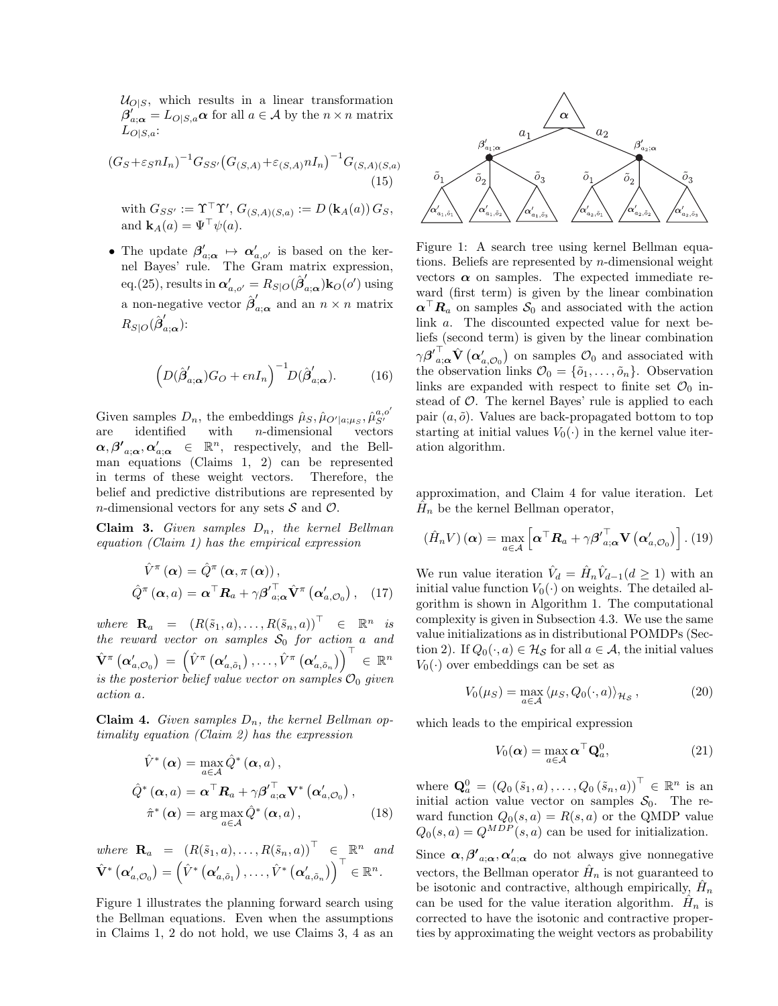$U_{O|S}$ , which results in a linear transformation  $\beta'_{a;\alpha} = L_{O|S,a} \alpha$  for all  $a \in \mathcal{A}$  by the  $n \times n$  matrix *L<sup>O</sup>|S,a*:

$$
(G_S + \varepsilon_S n I_n)^{-1} G_{SS'} (G_{(S,A)} + \varepsilon_{(S,A)} n I_n)^{-1} G_{(S,A)(S,a)}
$$
\n(15)

 $\text{with } G_{SS'} := \Upsilon^{\top} \Upsilon'$ ,  $G_{(S,A)(S,a)} := D(\mathbf{k}_A(a)) G_S$ , and  $\mathbf{k}_A(a) = \Psi^\top \psi(a)$ .

• The update  $\beta'_{a;\alpha} \mapsto \alpha'_{a,o'}$  is based on the kernel Bayes' rule. The Gram matrix expression, eq.(25), results in  $\alpha'_{a, o'} = R_{S|O}(\hat{\beta}'_{a; \alpha}) \mathbf{k}_{O}(o')$  using a non-negative vector  $\hat{\boldsymbol{\beta}}'_{a;\boldsymbol{\alpha}}$  and an  $n \times n$  matrix  $R_{S|O}(\hat{\boldsymbol{\beta}}'_{a;\boldsymbol{\alpha}})$ :

$$
\left(D(\hat{\beta}'_{a;\alpha})G_O + \epsilon n I_n\right)^{-1} D(\hat{\beta}'_{a;\alpha}).\tag{16}
$$

Given samples  $D_n$ , the embeddings  $\hat{\mu}_S, \hat{\mu}_{O'|a;\mu_S}, \hat{\mu}_{S'}^{a,o'}$ are identified with *n*-dimensional vectors  $\alpha, \beta'_{a;\alpha}, \alpha'_{a;\alpha} \in \mathbb{R}^n$ , respectively, and the Bellman equations (Claims 1, 2) can be represented in terms of these weight vectors. Therefore, the belief and predictive distributions are represented by *n*-dimensional vectors for any sets *S* and *O*.

**Claim 3.** *Given samples Dn, the kernel Bellman equation (Claim 1) has the empirical expression*

$$
\hat{V}^{\pi}(\alpha) = \hat{Q}^{\pi}(\alpha, \pi(\alpha)),
$$
  

$$
\hat{Q}^{\pi}(\alpha, a) = \alpha^{\top} R_a + \gamma \beta'_{a; \alpha}^{\top} \hat{\mathbf{V}}^{\pi}(\alpha'_{a, \mathcal{O}_0}), \quad (17)
$$

 $where \ \mathbf{R}_a = (R(\tilde{s}_1, a), \dots, R(\tilde{s}_n, a))^{\top} \in \mathbb{R}^n \ \text{is}$ *the reward vector on samples S*<sup>0</sup> *for action a and*  $\hat{\mathbf{V}}^{\pi}\left(\boldsymbol{\alpha}'_{a,\mathcal{O}_0}\right) \ = \ \left(\hat{V}^{\pi}\left(\boldsymbol{\alpha}'_{a,\tilde{o}_1}\right), \ldots, \hat{V}^{\pi}\left(\boldsymbol{\alpha}'_{a,\tilde{o}_n}\right)\right)^{\top} \ \in \ \mathbb{R}^n$ *is the posterior belief value vector on samples*  $\mathcal{O}_0$  *given action a.*

**Claim 4.** *Given samples Dn, the kernel Bellman optimality equation (Claim 2) has the expression*

$$
\hat{V}^*(\alpha) = \max_{a \in \mathcal{A}} \hat{Q}^*(\alpha, a),
$$
  

$$
\hat{Q}^*(\alpha, a) = \alpha^\top \mathbf{R}_a + \gamma \beta'_{a; \alpha}^\top \mathbf{V}^*(\alpha'_{a; \mathcal{O}_0}),
$$
  

$$
\hat{\pi}^*(\alpha) = \arg \max_{a \in \mathcal{A}} \hat{Q}^*(\alpha, a),
$$
 (18)

where 
$$
\mathbf{R}_a = (R(\tilde{s}_1, a), ..., R(\tilde{s}_n, a))^\top \in \mathbb{R}^n
$$
 and  
\n $\hat{\mathbf{V}}^* (\alpha'_{a, \mathcal{O}_0}) = (\hat{V}^* (\alpha'_{a, \tilde{o}_1}), ..., \hat{V}^* (\alpha'_{a, \tilde{o}_n}))^\top \in \mathbb{R}^n$ .

Figure 1 illustrates the planning forward search using the Bellman equations. Even when the assumptions in Claims 1, 2 do not hold, we use Claims 3, 4 as an



Figure 1: A search tree using kernel Bellman equations. Beliefs are represented by *n*-dimensional weight vectors  $\alpha$  on samples. The expected immediate reward (first term) is given by the linear combination  $\alpha$ <sup>T</sup> $R$ <sup>*a*</sup> on samples  $S$ <sup>0</sup> and associated with the action link *a*. The discounted expected value for next beliefs (second term) is given by the linear combination  $\gamma \beta'$ <sup>T</sup><sub>*a*; $\alpha$ </sub><sup>T</sup> $\alpha'$ <sub>*a*, $\mathcal{O}_0$ </sub> on samples  $\mathcal{O}_0$  and associated with the observation links  $\mathcal{O}_0 = {\tilde{\rho}_1, \ldots, \tilde{\rho}_n}$ . Observation links are expanded with respect to finite set  $\mathcal{O}_0$  instead of *O*. The kernel Bayes' rule is applied to each pair  $(a, \tilde{o})$ . Values are back-propagated bottom to top starting at initial values  $V_0(\cdot)$  in the kernel value iteration algorithm.

approximation, and Claim 4 for value iteration. Let  $\hat{H}_n$  be the kernel Bellman operator,

$$
(\hat{H}_n V) (\boldsymbol{\alpha}) = \max_{a \in \mathcal{A}} \left[ \boldsymbol{\alpha}^\top \boldsymbol{R}_a + \gamma \boldsymbol{\beta'}_{a;\boldsymbol{\alpha}}^\top \mathbf{V} (\boldsymbol{\alpha}'_{a,\mathcal{O}_0}) \right]. (19)
$$

We run value iteration  $\hat{V}_d = \hat{H}_n \hat{V}_{d-1} (d \ge 1)$  with an initial value function  $V_0(\cdot)$  on weights. The detailed algorithm is shown in Algorithm 1. The computational complexity is given in Subsection 4.3. We use the same value initializations as in distributional POMDPs (Section 2). If  $Q_0(\cdot, a) \in \mathcal{H}_{\mathcal{S}}$  for all  $a \in \mathcal{A}$ , the initial values  $V_0(\cdot)$  over embeddings can be set as

$$
V_0(\mu_S) = \max_{a \in \mathcal{A}} \langle \mu_S, Q_0(\cdot, a) \rangle_{\mathcal{H}_S},
$$
 (20)

which leads to the empirical expression

$$
V_0(\boldsymbol{\alpha}) = \max_{a \in \mathcal{A}} \boldsymbol{\alpha}^\top \mathbf{Q}_a^0, \tag{21}
$$

where  $\mathbf{Q}_{a}^{0} = (Q_{0}(\tilde{s}_{1}, a), \ldots, Q_{0}(\tilde{s}_{n}, a))^{T} \in \mathbb{R}^{n}$  is an initial action value vector on samples  $S_0$ . The reward function  $Q_0(s, a) = R(s, a)$  or the QMDP value  $Q_0(s, a) = Q^{MDP}(s, a)$  can be used for initialization.

Since  $\alpha, \beta'_{a;\alpha}, \alpha'_{a;\alpha}$  do not always give nonnegative vectors, the Bellman operator  $\hat{H}_n$  is not guaranteed to be isotonic and contractive, although empirically,  $\hat{H}_n$ can be used for the value iteration algorithm.  $\hat{H}_n$  is corrected to have the isotonic and contractive properties by approximating the weight vectors as probability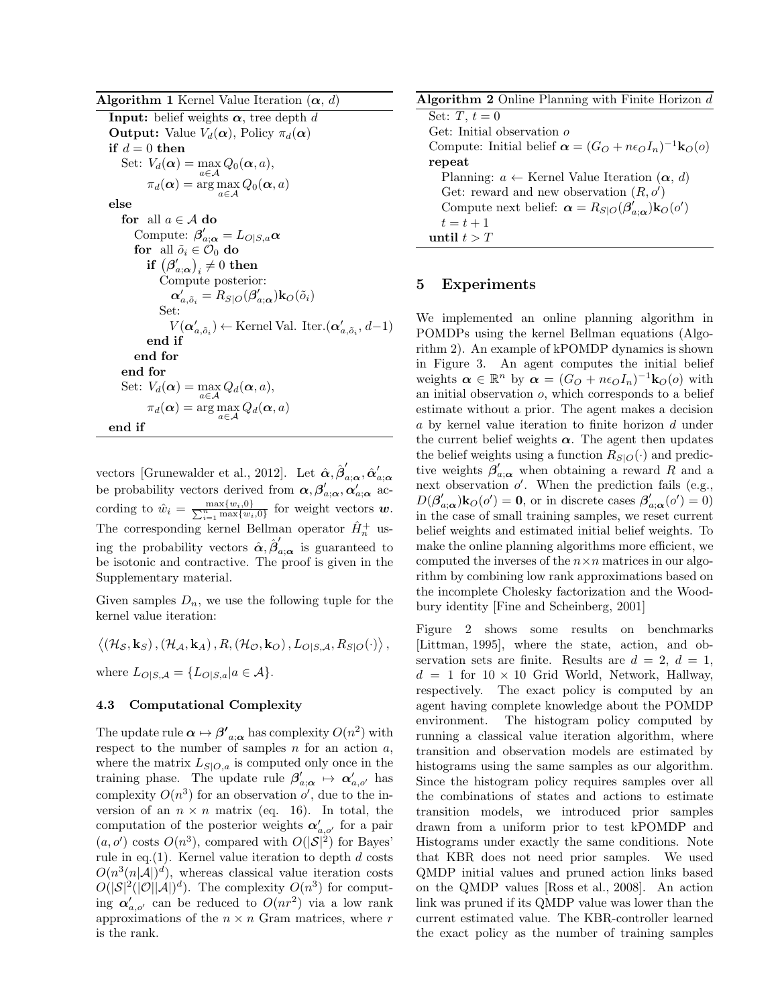**Algorithm 1** Kernel Value Iteration  $(\alpha, d)$ 

**Input:** belief weights  $\alpha$ , tree depth  $d$ **Output:** Value  $V_d(\boldsymbol{\alpha})$ , Policy  $\pi_d(\boldsymbol{\alpha})$ **if**  $d = 0$  **then** Set:  $V_d(\boldsymbol{\alpha}) = \max_{a \in \mathcal{A}} Q_0(\boldsymbol{\alpha}, a),$  $\pi_d(\boldsymbol{\alpha}) = \arg \max_{a \in \mathcal{A}} Q_0(\boldsymbol{\alpha}, a)$ **else for** all  $a \in \mathcal{A}$  **do** Compute:  $\beta'_{a;\boldsymbol{\alpha}} = L_{O|S,a} \boldsymbol{\alpha}$ **for** all  $\tilde{o}_i \in \mathcal{O}_0$  **do**  $\textbf{if} \left( \boldsymbol{\beta}_{a;\boldsymbol{\alpha}}' \right)_i \neq 0 \textbf{ then}$  $\overline{\text{Compute}}$  posterior:  $\alpha'_{a,\tilde{o}_i} = R_{S|O}(\beta'_{a;\boldsymbol{\alpha}}) \mathbf{k}_O(\tilde{o}_i)$ Set: *V*( $\alpha'_{a,\tilde{o}_i}$ ) ← Kernel Val. Iter. $(\alpha'_{a,\tilde{o}_i}, d-1)$ **end if end for end for** Set:  $V_d(\boldsymbol{\alpha}) = \max_{a \in \mathcal{A}} Q_d(\boldsymbol{\alpha}, a),$  $\pi_d(\boldsymbol{\alpha}) = \arg \max_{a \in \mathcal{A}} Q_d(\boldsymbol{\alpha}, a)$ **end if**

vectors [Grunewalder et al., 2012]. Let  $\hat{\alpha}, \hat{\beta}'_{a;\alpha}, \hat{\alpha}'_{a;\alpha}$ be probability vectors derived from  $\alpha$ ,  $\beta'_{a;\alpha}$ ,  $\alpha'_{a;\alpha}$  according to  $\hat{w}_i = \frac{\max\{w_i, 0\}}{\sum_{i=1}^n \max\{w_i, 0\}}$  for weight vectors  $w$ . The corresponding kernel Bellman operator  $\hat{H}^+_n$  using the probability vectors  $\hat{\alpha}, \hat{\beta}'_{a;\alpha}$  is guaranteed to be isotonic and contractive. The proof is given in the Supplementary material.

Given samples  $D_n$ , we use the following tuple for the kernel value iteration:

 $\langle (\mathcal{H}_{\mathcal{S}}, \mathbf{k}_{S})$  ,  $(\mathcal{H}_{\mathcal{A}}, \mathbf{k}_{A})$  ,  $R$ ,  $(\mathcal{H}_{\mathcal{O}}, \mathbf{k}_{O})$  ,  $L_{O|S, \mathcal{A}}, R_{S|O}(\cdot) \rangle$  , where  $L_{O|S,A} = \{L_{O|S,a} | a \in A\}.$ 

## **4.3 Computational Complexity**

The update rule  $\alpha \mapsto \beta'_{a;\alpha}$  has complexity  $O(n^2)$  with respect to the number of samples *n* for an action *a*, where the matrix  $L_{S|O,a}$  is computed only once in the training phase. The update rule  $\beta'_{a;\alpha} \mapsto \alpha'_{a,o'}$  has complexity  $O(n^3)$  for an observation  $o'$ , due to the inversion of an  $n \times n$  matrix (eq. 16). In total, the computation of the posterior weights *α′ a,o′* for a pair  $(a, o')$  costs  $O(n^3)$ , compared with  $O(|S|^2)$  for Bayes' rule in eq.(1). Kernel value iteration to depth *d* costs  $O(n^3(n|\mathcal{A}|)^d)$ , whereas classical value iteration costs  $O(|\mathcal{S}|^2(|\mathcal{O}||\mathcal{A}|)^d)$ . The complexity  $O(n^3)$  for computing  $\alpha'_{a,o'}$  can be reduced to  $O(nr^2)$  via a low rank approximations of the  $n \times n$  Gram matrices, where  $r$ is the rank.

| <b>Algorithm 2</b> Online Planning with Finite Horizon $d$                      |
|---------------------------------------------------------------------------------|
| Set: $T, t = 0$                                                                 |
| Get: Initial observation $\rho$                                                 |
| Compute: Initial belief $\alpha = (G_O + n\epsilon_O I_n)^{-1} \mathbf{k}_O(o)$ |
| repeat                                                                          |
| Planning: $a \leftarrow$ Kernel Value Iteration $(\alpha, d)$                   |
| Get: reward and new observation $(R, o')$                                       |
| Compute next belief: $\alpha = R_{S O}(\beta'_{a:\alpha})k_O(o')$               |
| $t=t+1$                                                                         |
| until $t > T$                                                                   |

# **5 Experiments**

We implemented an online planning algorithm in POMDPs using the kernel Bellman equations (Algorithm 2). An example of kPOMDP dynamics is shown in Figure 3. An agent computes the initial belief weights  $\boldsymbol{\alpha} \in \mathbb{R}^n$  by  $\boldsymbol{\alpha} = (G_O + n\epsilon_O I_n)^{-1} \mathbf{k}_O(o)$  with an initial observation *o*, which corresponds to a belief estimate without a prior. The agent makes a decision *a* by kernel value iteration to finite horizon *d* under the current belief weights  $\alpha$ . The agent then updates the belief weights using a function  $R_{S|O}(\cdot)$  and predictive weights  $\beta'_{a;\alpha}$  when obtaining a reward *R* and a next observation  $o'$ . When the prediction fails (e.g.,  $D(\beta'_{a;\alpha})\mathbf{k}_O(o') = \mathbf{0}$ , or in discrete cases  $\beta'_{a;\alpha}(o') = 0$ in the case of small training samples, we reset current belief weights and estimated initial belief weights. To make the online planning algorithms more efficient, we computed the inverses of the  $n \times n$  matrices in our algorithm by combining low rank approximations based on the incomplete Cholesky factorization and the Woodbury identity [Fine and Scheinberg, 2001]

Figure 2 shows some results on benchmarks [Littman, 1995], where the state, action, and observation sets are finite. Results are  $d = 2$ ,  $d = 1$ ,  $d = 1$  for  $10 \times 10$  Grid World, Network, Hallway, respectively. The exact policy is computed by an agent having complete knowledge about the POMDP environment. The histogram policy computed by running a classical value iteration algorithm, where transition and observation models are estimated by histograms using the same samples as our algorithm. Since the histogram policy requires samples over all the combinations of states and actions to estimate transition models, we introduced prior samples drawn from a uniform prior to test kPOMDP and Histograms under exactly the same conditions. Note that KBR does not need prior samples. We used QMDP initial values and pruned action links based on the QMDP values [Ross et al., 2008]. An action link was pruned if its QMDP value was lower than the current estimated value. The KBR-controller learned the exact policy as the number of training samples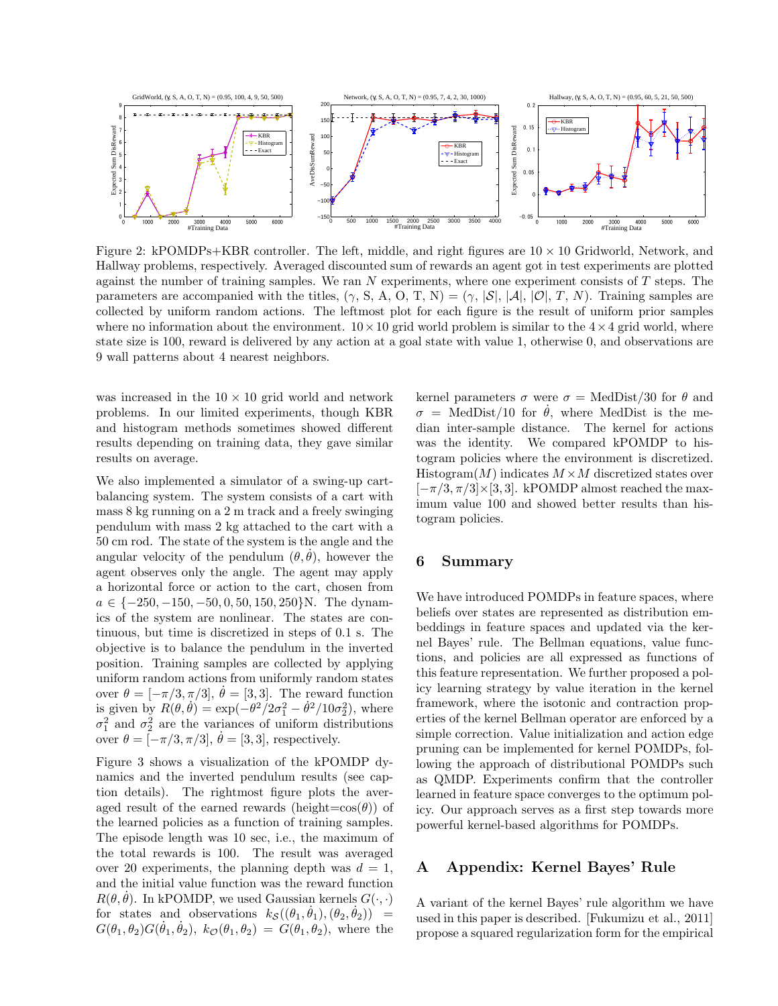

Figure 2: kPOMDPs+KBR controller. The left, middle, and right figures are 10 *×* 10 Gridworld, Network, and Hallway problems, respectively. Averaged discounted sum of rewards an agent got in test experiments are plotted against the number of training samples. We ran *N* experiments, where one experiment consists of *T* steps. The parameters are accompanied with the titles,  $(\gamma, S, A, O, T, N) = (\gamma, |\mathcal{S}|, |\mathcal{A}|, |\mathcal{O}|, T, N)$ . Training samples are collected by uniform random actions. The leftmost plot for each figure is the result of uniform prior samples where no information about the environment.  $10 \times 10$  grid world problem is similar to the  $4 \times 4$  grid world, where state size is 100, reward is delivered by any action at a goal state with value 1, otherwise 0, and observations are 9 wall patterns about 4 nearest neighbors.

was increased in the 10 *×* 10 grid world and network problems. In our limited experiments, though KBR and histogram methods sometimes showed different results depending on training data, they gave similar results on average.

We also implemented a simulator of a swing-up cartbalancing system. The system consists of a cart with mass 8 kg running on a 2 m track and a freely swinging pendulum with mass 2 kg attached to the cart with a 50 cm rod. The state of the system is the angle and the angular velocity of the pendulum  $(\theta, \theta)$ , however the agent observes only the angle. The agent may apply a horizontal force or action to the cart, chosen from *a ∈ {−*250*, −*150*, −*50*,* 0*,* 50*,* 150*,* 250*}*N. The dynamics of the system are nonlinear. The states are continuous, but time is discretized in steps of 0*.*1 s. The objective is to balance the pendulum in the inverted position. Training samples are collected by applying uniform random actions from uniformly random states over  $\theta = [-\pi/3, \pi/3], \dot{\theta} = [3, 3].$  The reward function is given by  $R(\theta, \dot{\theta}) = \exp(-\theta^2/2\sigma_1^2 - \dot{\theta}^2/10\sigma_2^2)$ , where  $\sigma_1^2$  and  $\sigma_2^2$  are the variances of uniform distributions over  $\theta = [-\pi/3, \pi/3], \dot{\theta} = [3, 3]$ , respectively.

Figure 3 shows a visualization of the kPOMDP dynamics and the inverted pendulum results (see caption details). The rightmost figure plots the averaged result of the earned rewards (height= $cos(\theta)$ ) of the learned policies as a function of training samples. The episode length was 10 sec, i.e., the maximum of the total rewards is 100. The result was averaged over 20 experiments, the planning depth was  $d = 1$ , and the initial value function was the reward function  $R(\theta, \theta)$ . In kPOMDP, we used Gaussian kernels  $G(\cdot, \cdot)$ for states and observations  $k_{\mathcal{S}}((\theta_1, \dot{\theta}_1), (\theta_2, \dot{\theta}_2))$  =  $G(\theta_1, \theta_2)G(\dot{\theta}_1, \dot{\theta}_2), k_{\mathcal{O}}(\theta_1, \theta_2) = G(\theta_1, \theta_2),$  where the

kernel parameters  $\sigma$  were  $\sigma$  = MedDist/30 for  $\theta$  and  $\sigma = \text{MedDist}/10$  for  $\dot{\theta}$ , where MedDist is the median inter-sample distance. The kernel for actions was the identity. We compared kPOMDP to histogram policies where the environment is discretized. Histogram $(M)$  indicates  $M \times M$  discretized states over [*−π/*3*, π/*3]*×*[3*,* 3]. kPOMDP almost reached the maximum value 100 and showed better results than histogram policies.

## **6 Summary**

We have introduced POMDPs in feature spaces, where beliefs over states are represented as distribution embeddings in feature spaces and updated via the kernel Bayes' rule. The Bellman equations, value functions, and policies are all expressed as functions of this feature representation. We further proposed a policy learning strategy by value iteration in the kernel framework, where the isotonic and contraction properties of the kernel Bellman operator are enforced by a simple correction. Value initialization and action edge pruning can be implemented for kernel POMDPs, following the approach of distributional POMDPs such as QMDP. Experiments confirm that the controller learned in feature space converges to the optimum policy. Our approach serves as a first step towards more powerful kernel-based algorithms for POMDPs.

# **A Appendix: Kernel Bayes' Rule**

A variant of the kernel Bayes' rule algorithm we have used in this paper is described. [Fukumizu et al., 2011] propose a squared regularization form for the empirical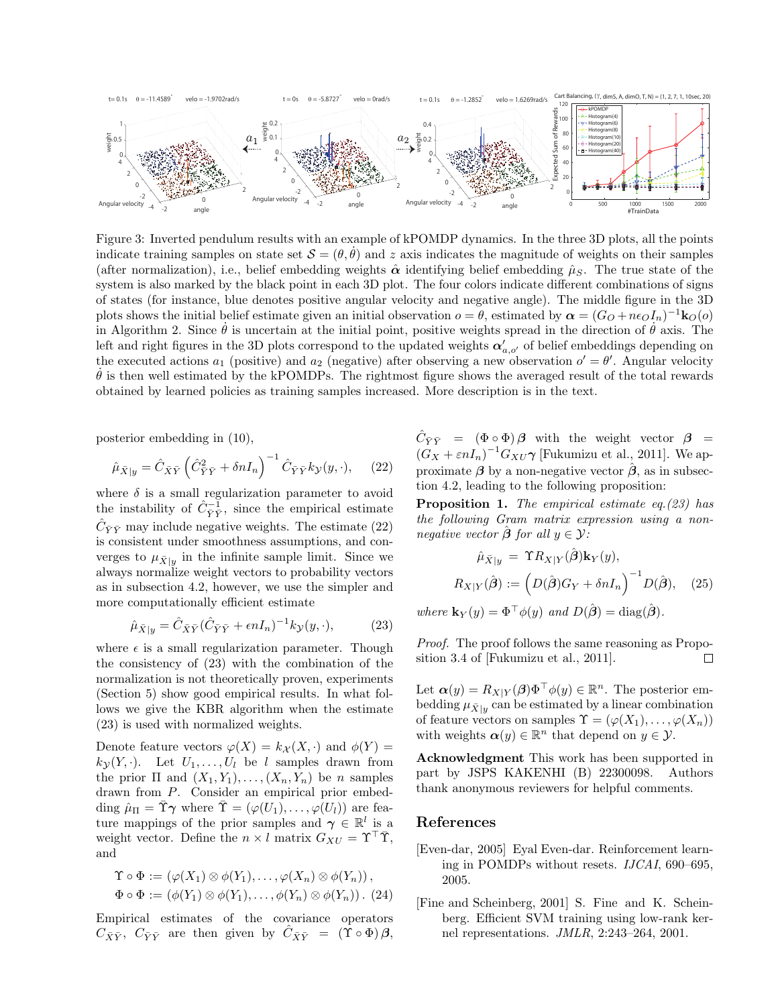

Figure 3: Inverted pendulum results with an example of kPOMDP dynamics. In the three 3D plots, all the points indicate training samples on state set  $\mathcal{S} = (\theta, \dot{\theta})$  and *z* axis indicates the magnitude of weights on their samples (after normalization), i.e., belief embedding weights  $\hat{\alpha}$  identifying belief embedding  $\hat{\mu}_S$ . The true state of the system is also marked by the black point in each 3D plot. The four colors indicate different combinations of signs of states (for instance, blue denotes positive angular velocity and negative angle). The middle figure in the 3D plots shows the initial belief estimate given an initial observation  $o = \theta$ , estimated by  $\alpha = (G_O + n\epsilon_O I_n)^{-1} \mathbf{k}_O(o)$ in Algorithm 2. Since  $\dot{\theta}$  is uncertain at the initial point, positive weights spread in the direction of  $\dot{\theta}$  axis. The left and right figures in the 3D plots correspond to the updated weights  $\alpha'_{a, o'}$  of belief embeddings depending on the executed actions  $a_1$  (positive) and  $a_2$  (negative) after observing a new observation  $o' = \theta'$ . Angular velocity  $\theta$  is then well estimated by the kPOMDPs. The rightmost figure shows the averaged result of the total rewards obtained by learned policies as training samples increased. More description is in the text.

posterior embedding in (10),

$$
\hat{\mu}_{\bar{X}|y} = \hat{C}_{\bar{X}\bar{Y}} \left( \hat{C}_{\bar{Y}\bar{Y}}^2 + \delta n I_n \right)^{-1} \hat{C}_{\bar{Y}\bar{Y}} k_{\mathcal{Y}}(y, \cdot), \quad (22)
$$

where  $\delta$  is a small regularization parameter to avoid the instability of  $\hat{C}_{\bar{Y}\bar{Y}}^{-1}$ , since the empirical estimate  $\hat{C}_{\bar{Y}\bar{Y}}$  may include negative weights. The estimate (22) is consistent under smoothness assumptions, and converges to  $\mu_{\bar{X}|y}$  in the infinite sample limit. Since we always normalize weight vectors to probability vectors as in subsection 4.2, however, we use the simpler and more computationally efficient estimate

$$
\hat{\mu}_{\bar{X}|y} = \hat{C}_{\bar{X}\bar{Y}} (\hat{C}_{\bar{Y}\bar{Y}} + \epsilon n I_n)^{-1} k_{\mathcal{Y}}(y, \cdot), \tag{23}
$$

where  $\epsilon$  is a small regularization parameter. Though the consistency of (23) with the combination of the normalization is not theoretically proven, experiments (Section 5) show good empirical results. In what follows we give the KBR algorithm when the estimate (23) is used with normalized weights.

Denote feature vectors  $\varphi(X) = k_X(X, \cdot)$  and  $\phi(Y) =$  $k_{\mathcal{V}}(Y, \cdot)$ . Let  $U_1, \ldots, U_l$  be *l* samples drawn from the prior  $\Pi$  and  $(X_1, Y_1), \ldots, (X_n, Y_n)$  be *n* samples drawn from *P*. Consider an empirical prior embedding  $\hat{\mu}_{\Pi} = \tilde{\Upsilon} \gamma$  where  $\tilde{\Upsilon} = (\varphi(U_1), \dots, \varphi(U_l))$  are feature mappings of the prior samples and  $\gamma \in \mathbb{R}^l$  is a weight vector. Define the  $n \times l$  matrix  $G_{XU} = \Upsilon^{\top} \overline{\Upsilon}$ , and

$$
\Upsilon \circ \Phi := (\varphi(X_1) \otimes \phi(Y_1), \dots, \varphi(X_n) \otimes \phi(Y_n)),
$$
  

$$
\Phi \circ \Phi := (\phi(Y_1) \otimes \phi(Y_1), \dots, \phi(Y_n) \otimes \phi(Y_n)).
$$
 (24)

Empirical estimates of the covariance operators  $C_{\bar{X}\bar{Y}}$ ,  $C_{\bar{Y}\bar{Y}}$  are then given by  $C_{\bar{X}\bar{Y}} = (\Upsilon \circ \Phi) \beta$ ,

 $\hat{C}_{\bar{Y}\bar{Y}}$  =  $(\Phi \circ \Phi)\beta$  with the weight vector  $\beta$  =  $(G_X + \varepsilon nI_n)^{-1}G_{XU}\gamma$  [Fukumizu et al., 2011]. We approximate  $\beta$  by a non-negative vector  $\hat{\beta}$ , as in subsection 4.2, leading to the following proposition:

**Proposition 1.** *The empirical estimate eq.(23) has the following Gram matrix expression using a nonnegative vector*  $\hat{\boldsymbol{\beta}}$  *for all*  $y \in \mathcal{Y}$ *:* 

$$
\hat{\mu}_{\bar{X}|y} = \Upsilon R_{X|Y}(\hat{\boldsymbol{\beta}}) \mathbf{k}_Y(y),
$$

$$
R_{X|Y}(\hat{\boldsymbol{\beta}}) := \left( D(\hat{\boldsymbol{\beta}}) G_Y + \delta n I_n \right)^{-1} D(\hat{\boldsymbol{\beta}}), \quad (25)
$$

 $where \mathbf{k}_Y(y) = \Phi^\top \phi(y) \text{ and } D(\hat{\boldsymbol{\beta}}) = \text{diag}(\hat{\boldsymbol{\beta}}).$ 

*Proof.* The proof follows the same reasoning as Proposition 3.4 of [Fukumizu et al., 2011]. П

Let  $\alpha(y) = R_{X|Y}(\beta) \Phi^{\top} \phi(y) \in \mathbb{R}^n$ . The posterior embedding  $\mu_{\bar{X}|y}$  can be estimated by a linear combination of feature vectors on samples  $\Upsilon = (\varphi(X_1), \ldots, \varphi(X_n))$ with weights  $\boldsymbol{\alpha}(y) \in \mathbb{R}^n$  that depend on  $y \in \mathcal{Y}$ .

**Acknowledgment** This work has been supported in part by JSPS KAKENHI (B) 22300098. Authors thank anonymous reviewers for helpful comments.

## **References**

- [Even-dar, 2005] Eyal Even-dar. Reinforcement learning in POMDPs without resets. *IJCAI*, 690–695, 2005.
- [Fine and Scheinberg, 2001] S. Fine and K. Scheinberg. Efficient SVM training using low-rank kernel representations. *JMLR*, 2:243–264, 2001.